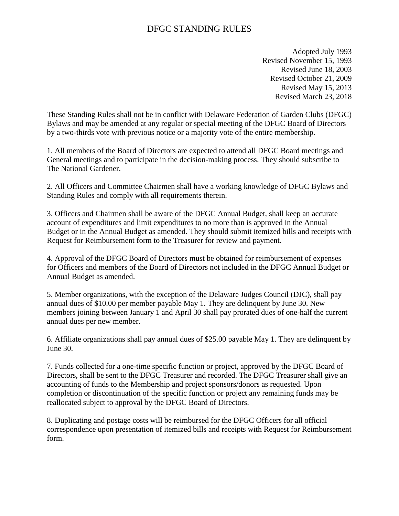# DFGC STANDING RULES

Adopted July 1993 Revised November 15, 1993 Revised June 18, 2003 Revised October 21, 2009 Revised May 15, 2013 Revised March 23, 2018

These Standing Rules shall not be in conflict with Delaware Federation of Garden Clubs (DFGC) Bylaws and may be amended at any regular or special meeting of the DFGC Board of Directors by a two-thirds vote with previous notice or a majority vote of the entire membership.

1. All members of the Board of Directors are expected to attend all DFGC Board meetings and General meetings and to participate in the decision-making process. They should subscribe to The National Gardener.

2. All Officers and Committee Chairmen shall have a working knowledge of DFGC Bylaws and Standing Rules and comply with all requirements therein.

3. Officers and Chairmen shall be aware of the DFGC Annual Budget, shall keep an accurate account of expenditures and limit expenditures to no more than is approved in the Annual Budget or in the Annual Budget as amended. They should submit itemized bills and receipts with Request for Reimbursement form to the Treasurer for review and payment.

4. Approval of the DFGC Board of Directors must be obtained for reimbursement of expenses for Officers and members of the Board of Directors not included in the DFGC Annual Budget or Annual Budget as amended.

5. Member organizations, with the exception of the Delaware Judges Council (DJC), shall pay annual dues of \$10.00 per member payable May 1. They are delinquent by June 30. New members joining between January 1 and April 30 shall pay prorated dues of one-half the current annual dues per new member.

6. Affiliate organizations shall pay annual dues of \$25.00 payable May 1. They are delinquent by June 30.

7. Funds collected for a one-time specific function or project, approved by the DFGC Board of Directors, shall be sent to the DFGC Treasurer and recorded. The DFGC Treasurer shall give an accounting of funds to the Membership and project sponsors/donors as requested. Upon completion or discontinuation of the specific function or project any remaining funds may be reallocated subject to approval by the DFGC Board of Directors.

8. Duplicating and postage costs will be reimbursed for the DFGC Officers for all official correspondence upon presentation of itemized bills and receipts with Request for Reimbursement form.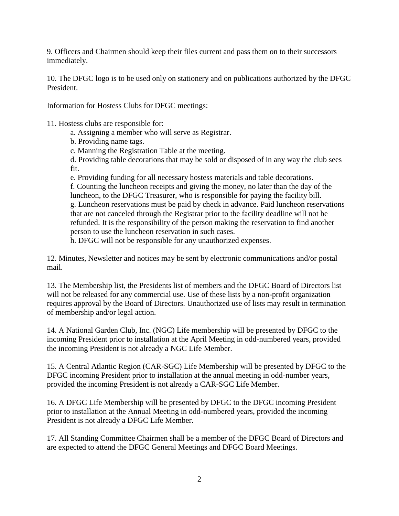9. Officers and Chairmen should keep their files current and pass them on to their successors immediately.

10. The DFGC logo is to be used only on stationery and on publications authorized by the DFGC President.

Information for Hostess Clubs for DFGC meetings:

11. Hostess clubs are responsible for:

a. Assigning a member who will serve as Registrar.

b. Providing name tags.

c. Manning the Registration Table at the meeting.

d. Providing table decorations that may be sold or disposed of in any way the club sees fit.

e. Providing funding for all necessary hostess materials and table decorations. f. Counting the luncheon receipts and giving the money, no later than the day of the luncheon, to the DFGC Treasurer, who is responsible for paying the facility bill. g. Luncheon reservations must be paid by check in advance. Paid luncheon reservations that are not canceled through the Registrar prior to the facility deadline will not be refunded. It is the responsibility of the person making the reservation to find another person to use the luncheon reservation in such cases.

h. DFGC will not be responsible for any unauthorized expenses.

12. Minutes, Newsletter and notices may be sent by electronic communications and/or postal mail.

13. The Membership list, the Presidents list of members and the DFGC Board of Directors list will not be released for any commercial use. Use of these lists by a non-profit organization requires approval by the Board of Directors. Unauthorized use of lists may result in termination of membership and/or legal action.

14. A National Garden Club, Inc. (NGC) Life membership will be presented by DFGC to the incoming President prior to installation at the April Meeting in odd-numbered years, provided the incoming President is not already a NGC Life Member.

15. A Central Atlantic Region (CAR-SGC) Life Membership will be presented by DFGC to the DFGC incoming President prior to installation at the annual meeting in odd-number years, provided the incoming President is not already a CAR-SGC Life Member.

16. A DFGC Life Membership will be presented by DFGC to the DFGC incoming President prior to installation at the Annual Meeting in odd-numbered years, provided the incoming President is not already a DFGC Life Member.

17. All Standing Committee Chairmen shall be a member of the DFGC Board of Directors and are expected to attend the DFGC General Meetings and DFGC Board Meetings.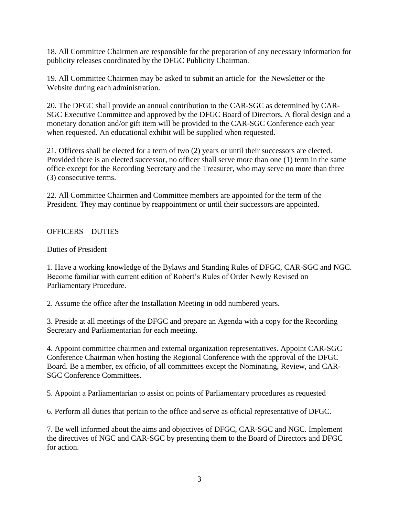18. All Committee Chairmen are responsible for the preparation of any necessary information for publicity releases coordinated by the DFGC Publicity Chairman.

19. All Committee Chairmen may be asked to submit an article for the Newsletter or the Website during each administration.

20. The DFGC shall provide an annual contribution to the CAR-SGC as determined by CAR-SGC Executive Committee and approved by the DFGC Board of Directors. A floral design and a monetary donation and/or gift item will be provided to the CAR-SGC Conference each year when requested. An educational exhibit will be supplied when requested.

21. Officers shall be elected for a term of two (2) years or until their successors are elected. Provided there is an elected successor, no officer shall serve more than one (1) term in the same office except for the Recording Secretary and the Treasurer, who may serve no more than three (3) consecutive terms.

22. All Committee Chairmen and Committee members are appointed for the term of the President. They may continue by reappointment or until their successors are appointed.

OFFICERS – DUTIES

Duties of President

1. Have a working knowledge of the Bylaws and Standing Rules of DFGC, CAR-SGC and NGC. Become familiar with current edition of Robert's Rules of Order Newly Revised on Parliamentary Procedure.

2. Assume the office after the Installation Meeting in odd numbered years.

3. Preside at all meetings of the DFGC and prepare an Agenda with a copy for the Recording Secretary and Parliamentarian for each meeting.

4. Appoint committee chairmen and external organization representatives. Appoint CAR-SGC Conference Chairman when hosting the Regional Conference with the approval of the DFGC Board. Be a member, ex officio, of all committees except the Nominating, Review, and CAR-SGC Conference Committees.

5. Appoint a Parliamentarian to assist on points of Parliamentary procedures as requested

6. Perform all duties that pertain to the office and serve as official representative of DFGC.

7. Be well informed about the aims and objectives of DFGC, CAR-SGC and NGC. Implement the directives of NGC and CAR-SGC by presenting them to the Board of Directors and DFGC for action.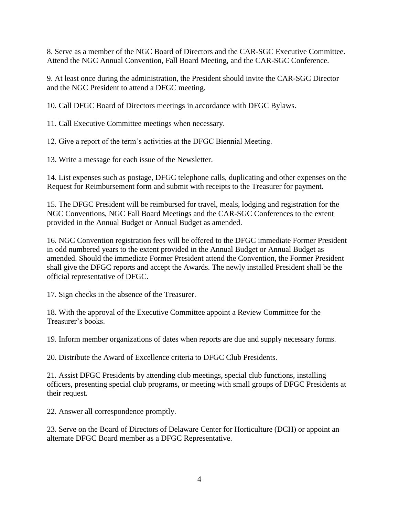8. Serve as a member of the NGC Board of Directors and the CAR-SGC Executive Committee. Attend the NGC Annual Convention, Fall Board Meeting, and the CAR-SGC Conference.

9. At least once during the administration, the President should invite the CAR-SGC Director and the NGC President to attend a DFGC meeting.

10. Call DFGC Board of Directors meetings in accordance with DFGC Bylaws.

11. Call Executive Committee meetings when necessary.

12. Give a report of the term's activities at the DFGC Biennial Meeting.

13. Write a message for each issue of the Newsletter.

14. List expenses such as postage, DFGC telephone calls, duplicating and other expenses on the Request for Reimbursement form and submit with receipts to the Treasurer for payment.

15. The DFGC President will be reimbursed for travel, meals, lodging and registration for the NGC Conventions, NGC Fall Board Meetings and the CAR-SGC Conferences to the extent provided in the Annual Budget or Annual Budget as amended.

16. NGC Convention registration fees will be offered to the DFGC immediate Former President in odd numbered years to the extent provided in the Annual Budget or Annual Budget as amended. Should the immediate Former President attend the Convention, the Former President shall give the DFGC reports and accept the Awards. The newly installed President shall be the official representative of DFGC.

17. Sign checks in the absence of the Treasurer.

18. With the approval of the Executive Committee appoint a Review Committee for the Treasurer's books.

19. Inform member organizations of dates when reports are due and supply necessary forms.

20. Distribute the Award of Excellence criteria to DFGC Club Presidents.

21. Assist DFGC Presidents by attending club meetings, special club functions, installing officers, presenting special club programs, or meeting with small groups of DFGC Presidents at their request.

22. Answer all correspondence promptly.

23. Serve on the Board of Directors of Delaware Center for Horticulture (DCH) or appoint an alternate DFGC Board member as a DFGC Representative.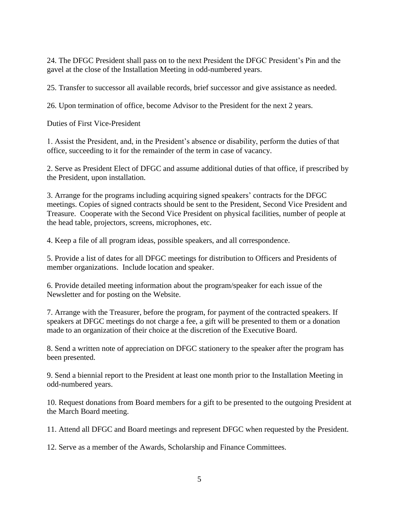24. The DFGC President shall pass on to the next President the DFGC President's Pin and the gavel at the close of the Installation Meeting in odd-numbered years.

25. Transfer to successor all available records, brief successor and give assistance as needed.

26. Upon termination of office, become Advisor to the President for the next 2 years.

Duties of First Vice-President

1. Assist the President, and, in the President's absence or disability, perform the duties of that office, succeeding to it for the remainder of the term in case of vacancy.

2. Serve as President Elect of DFGC and assume additional duties of that office, if prescribed by the President, upon installation.

3. Arrange for the programs including acquiring signed speakers' contracts for the DFGC meetings. Copies of signed contracts should be sent to the President, Second Vice President and Treasure. Cooperate with the Second Vice President on physical facilities, number of people at the head table, projectors, screens, microphones, etc.

4. Keep a file of all program ideas, possible speakers, and all correspondence.

5. Provide a list of dates for all DFGC meetings for distribution to Officers and Presidents of member organizations. Include location and speaker.

6. Provide detailed meeting information about the program/speaker for each issue of the Newsletter and for posting on the Website.

7. Arrange with the Treasurer, before the program, for payment of the contracted speakers. If speakers at DFGC meetings do not charge a fee, a gift will be presented to them or a donation made to an organization of their choice at the discretion of the Executive Board.

8. Send a written note of appreciation on DFGC stationery to the speaker after the program has been presented.

9. Send a biennial report to the President at least one month prior to the Installation Meeting in odd-numbered years.

10. Request donations from Board members for a gift to be presented to the outgoing President at the March Board meeting.

11. Attend all DFGC and Board meetings and represent DFGC when requested by the President.

12. Serve as a member of the Awards, Scholarship and Finance Committees.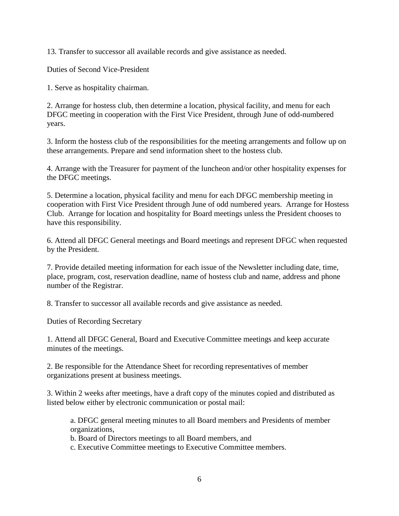13. Transfer to successor all available records and give assistance as needed.

Duties of Second Vice-President

1. Serve as hospitality chairman.

2. Arrange for hostess club, then determine a location, physical facility, and menu for each DFGC meeting in cooperation with the First Vice President, through June of odd-numbered years.

3. Inform the hostess club of the responsibilities for the meeting arrangements and follow up on these arrangements. Prepare and send information sheet to the hostess club.

4. Arrange with the Treasurer for payment of the luncheon and/or other hospitality expenses for the DFGC meetings.

5. Determine a location, physical facility and menu for each DFGC membership meeting in cooperation with First Vice President through June of odd numbered years. Arrange for Hostess Club. Arrange for location and hospitality for Board meetings unless the President chooses to have this responsibility.

6. Attend all DFGC General meetings and Board meetings and represent DFGC when requested by the President.

7. Provide detailed meeting information for each issue of the Newsletter including date, time, place, program, cost, reservation deadline, name of hostess club and name, address and phone number of the Registrar.

8. Transfer to successor all available records and give assistance as needed.

Duties of Recording Secretary

1. Attend all DFGC General, Board and Executive Committee meetings and keep accurate minutes of the meetings.

2. Be responsible for the Attendance Sheet for recording representatives of member organizations present at business meetings.

3. Within 2 weeks after meetings, have a draft copy of the minutes copied and distributed as listed below either by electronic communication or postal mail:

a. DFGC general meeting minutes to all Board members and Presidents of member organizations,

b. Board of Directors meetings to all Board members, and

c. Executive Committee meetings to Executive Committee members.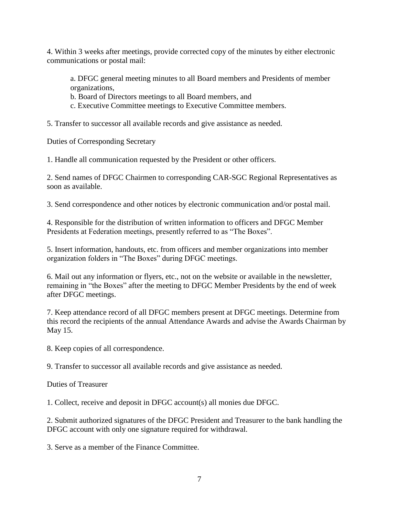4. Within 3 weeks after meetings, provide corrected copy of the minutes by either electronic communications or postal mail:

a. DFGC general meeting minutes to all Board members and Presidents of member organizations,

b. Board of Directors meetings to all Board members, and

c. Executive Committee meetings to Executive Committee members.

5. Transfer to successor all available records and give assistance as needed.

Duties of Corresponding Secretary

1. Handle all communication requested by the President or other officers.

2. Send names of DFGC Chairmen to corresponding CAR-SGC Regional Representatives as soon as available.

3. Send correspondence and other notices by electronic communication and/or postal mail.

4. Responsible for the distribution of written information to officers and DFGC Member Presidents at Federation meetings, presently referred to as "The Boxes".

5. Insert information, handouts, etc. from officers and member organizations into member organization folders in "The Boxes" during DFGC meetings.

6. Mail out any information or flyers, etc., not on the website or available in the newsletter, remaining in "the Boxes" after the meeting to DFGC Member Presidents by the end of week after DFGC meetings.

7. Keep attendance record of all DFGC members present at DFGC meetings. Determine from this record the recipients of the annual Attendance Awards and advise the Awards Chairman by May 15.

8. Keep copies of all correspondence.

9. Transfer to successor all available records and give assistance as needed.

Duties of Treasurer

1. Collect, receive and deposit in DFGC account(s) all monies due DFGC.

2. Submit authorized signatures of the DFGC President and Treasurer to the bank handling the DFGC account with only one signature required for withdrawal.

3. Serve as a member of the Finance Committee.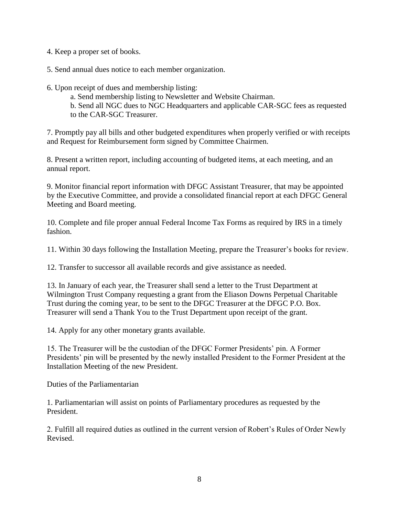4. Keep a proper set of books.

5. Send annual dues notice to each member organization.

- 6. Upon receipt of dues and membership listing:
	- a. Send membership listing to Newsletter and Website Chairman.
	- b. Send all NGC dues to NGC Headquarters and applicable CAR-SGC fees as requested to the CAR-SGC Treasurer.

7. Promptly pay all bills and other budgeted expenditures when properly verified or with receipts and Request for Reimbursement form signed by Committee Chairmen.

8. Present a written report, including accounting of budgeted items, at each meeting, and an annual report.

9. Monitor financial report information with DFGC Assistant Treasurer, that may be appointed by the Executive Committee, and provide a consolidated financial report at each DFGC General Meeting and Board meeting.

10. Complete and file proper annual Federal Income Tax Forms as required by IRS in a timely fashion.

11. Within 30 days following the Installation Meeting, prepare the Treasurer's books for review.

12. Transfer to successor all available records and give assistance as needed.

13. In January of each year, the Treasurer shall send a letter to the Trust Department at Wilmington Trust Company requesting a grant from the Eliason Downs Perpetual Charitable Trust during the coming year, to be sent to the DFGC Treasurer at the DFGC P.O. Box. Treasurer will send a Thank You to the Trust Department upon receipt of the grant.

14. Apply for any other monetary grants available.

15. The Treasurer will be the custodian of the DFGC Former Presidents' pin. A Former Presidents' pin will be presented by the newly installed President to the Former President at the Installation Meeting of the new President.

Duties of the Parliamentarian

1. Parliamentarian will assist on points of Parliamentary procedures as requested by the President.

2. Fulfill all required duties as outlined in the current version of Robert's Rules of Order Newly Revised.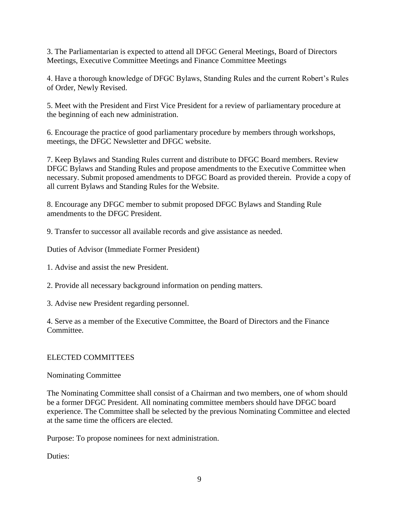3. The Parliamentarian is expected to attend all DFGC General Meetings, Board of Directors Meetings, Executive Committee Meetings and Finance Committee Meetings

4. Have a thorough knowledge of DFGC Bylaws, Standing Rules and the current Robert's Rules of Order, Newly Revised.

5. Meet with the President and First Vice President for a review of parliamentary procedure at the beginning of each new administration.

6. Encourage the practice of good parliamentary procedure by members through workshops, meetings, the DFGC Newsletter and DFGC website.

7. Keep Bylaws and Standing Rules current and distribute to DFGC Board members. Review DFGC Bylaws and Standing Rules and propose amendments to the Executive Committee when necessary. Submit proposed amendments to DFGC Board as provided therein. Provide a copy of all current Bylaws and Standing Rules for the Website.

8. Encourage any DFGC member to submit proposed DFGC Bylaws and Standing Rule amendments to the DFGC President.

9. Transfer to successor all available records and give assistance as needed.

Duties of Advisor (Immediate Former President)

1. Advise and assist the new President.

2. Provide all necessary background information on pending matters.

3. Advise new President regarding personnel.

4. Serve as a member of the Executive Committee, the Board of Directors and the Finance Committee.

#### ELECTED COMMITTEES

Nominating Committee

The Nominating Committee shall consist of a Chairman and two members, one of whom should be a former DFGC President. All nominating committee members should have DFGC board experience. The Committee shall be selected by the previous Nominating Committee and elected at the same time the officers are elected.

Purpose: To propose nominees for next administration.

Duties: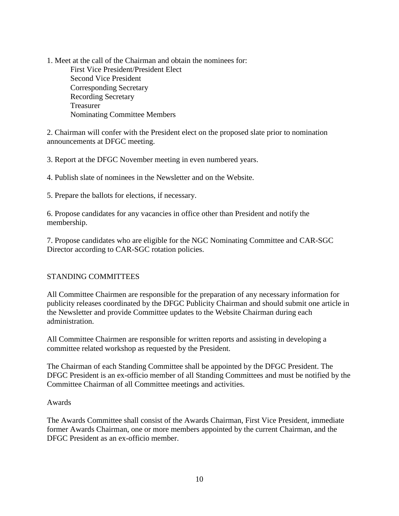1. Meet at the call of the Chairman and obtain the nominees for: First Vice President/President Elect Second Vice President Corresponding Secretary Recording Secretary Treasurer Nominating Committee Members

2. Chairman will confer with the President elect on the proposed slate prior to nomination announcements at DFGC meeting.

3. Report at the DFGC November meeting in even numbered years.

4. Publish slate of nominees in the Newsletter and on the Website.

5. Prepare the ballots for elections, if necessary.

6. Propose candidates for any vacancies in office other than President and notify the membership.

7. Propose candidates who are eligible for the NGC Nominating Committee and CAR-SGC Director according to CAR-SGC rotation policies.

## STANDING COMMITTEES

All Committee Chairmen are responsible for the preparation of any necessary information for publicity releases coordinated by the DFGC Publicity Chairman and should submit one article in the Newsletter and provide Committee updates to the Website Chairman during each administration.

All Committee Chairmen are responsible for written reports and assisting in developing a committee related workshop as requested by the President.

The Chairman of each Standing Committee shall be appointed by the DFGC President. The DFGC President is an ex-officio member of all Standing Committees and must be notified by the Committee Chairman of all Committee meetings and activities.

#### Awards

The Awards Committee shall consist of the Awards Chairman, First Vice President, immediate former Awards Chairman, one or more members appointed by the current Chairman, and the DFGC President as an ex-officio member.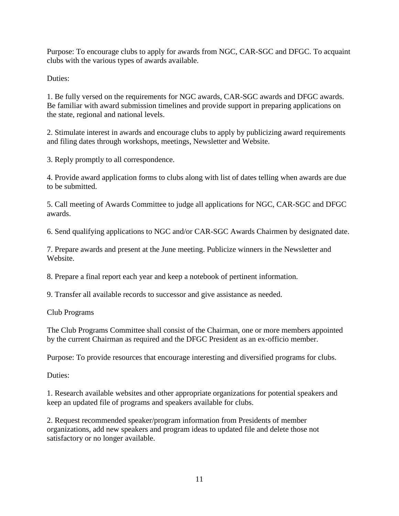Purpose: To encourage clubs to apply for awards from NGC, CAR-SGC and DFGC. To acquaint clubs with the various types of awards available.

Duties:

1. Be fully versed on the requirements for NGC awards, CAR-SGC awards and DFGC awards. Be familiar with award submission timelines and provide support in preparing applications on the state, regional and national levels.

2. Stimulate interest in awards and encourage clubs to apply by publicizing award requirements and filing dates through workshops, meetings, Newsletter and Website.

3. Reply promptly to all correspondence.

4. Provide award application forms to clubs along with list of dates telling when awards are due to be submitted.

5. Call meeting of Awards Committee to judge all applications for NGC, CAR-SGC and DFGC awards.

6. Send qualifying applications to NGC and/or CAR-SGC Awards Chairmen by designated date.

7. Prepare awards and present at the June meeting. Publicize winners in the Newsletter and Website.

8. Prepare a final report each year and keep a notebook of pertinent information.

9. Transfer all available records to successor and give assistance as needed.

Club Programs

The Club Programs Committee shall consist of the Chairman, one or more members appointed by the current Chairman as required and the DFGC President as an ex-officio member.

Purpose: To provide resources that encourage interesting and diversified programs for clubs.

Duties:

1. Research available websites and other appropriate organizations for potential speakers and keep an updated file of programs and speakers available for clubs.

2. Request recommended speaker/program information from Presidents of member organizations, add new speakers and program ideas to updated file and delete those not satisfactory or no longer available.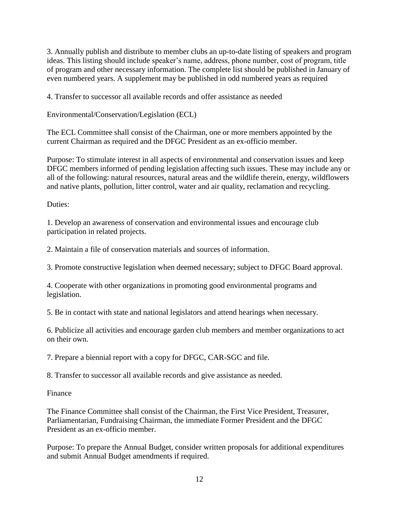3. Annually publish and distribute to member clubs an up-to-date listing of speakers and program ideas. This listing should include speaker's name, address, phone number, cost of program, title of program and other necessary information. The complete list should be published in January of even numbered years. A supplement may be published in odd numbered years as required

4. Transfer to successor all available records and offer assistance as needed

Environmental/Conservation/Legislation (ECL)

The ECL Committee shall consist of the Chairman, one or more members appointed by the current Chairman as required and the DFGC President as an ex-officio member.

Purpose: To stimulate interest in all aspects of environmental and conservation issues and keep DFGC members informed of pending legislation affecting such issues. These may include any or all of the following: natural resources, natural areas and the wildlife therein, energy, wildflowers and native plants, pollution, litter control, water and air quality, reclamation and recycling.

Duties:

1. Develop an awareness of conservation and environmental issues and encourage club participation in related projects.

2. Maintain a file of conservation materials and sources of information.

3. Promote constructive legislation when deemed necessary; subject to DFGC Board approval.

4. Cooperate with other organizations in promoting good environmental programs and legislation.

5. Be in contact with state and national legislators and attend hearings when necessary.

6. Publicize all activities and encourage garden club members and member organizations to act on their own.

7. Prepare a biennial report with a copy for DFGC, CAR-SGC and file.

8. Transfer to successor all available records and give assistance as needed.

Finance

The Finance Committee shall consist of the Chairman, the First Vice President, Treasurer, Parliamentarian, Fundraising Chairman, the immediate Former President and the DFGC President as an ex-officio member.

Purpose: To prepare the Annual Budget, consider written proposals for additional expenditures and submit Annual Budget amendments if required.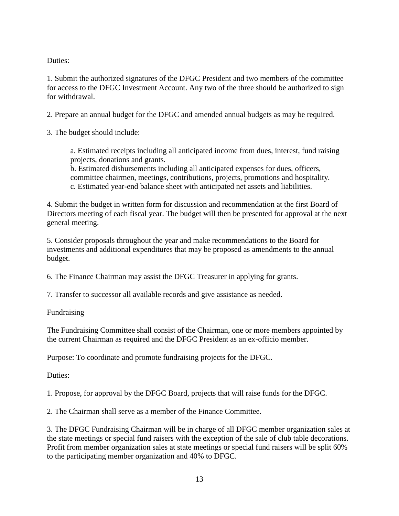Duties:

1. Submit the authorized signatures of the DFGC President and two members of the committee for access to the DFGC Investment Account. Any two of the three should be authorized to sign for withdrawal.

2. Prepare an annual budget for the DFGC and amended annual budgets as may be required.

3. The budget should include:

a. Estimated receipts including all anticipated income from dues, interest, fund raising projects, donations and grants.

b. Estimated disbursements including all anticipated expenses for dues, officers, committee chairmen, meetings, contributions, projects, promotions and hospitality. c. Estimated year-end balance sheet with anticipated net assets and liabilities.

4. Submit the budget in written form for discussion and recommendation at the first Board of Directors meeting of each fiscal year. The budget will then be presented for approval at the next general meeting.

5. Consider proposals throughout the year and make recommendations to the Board for investments and additional expenditures that may be proposed as amendments to the annual budget.

6. The Finance Chairman may assist the DFGC Treasurer in applying for grants.

7. Transfer to successor all available records and give assistance as needed.

Fundraising

The Fundraising Committee shall consist of the Chairman, one or more members appointed by the current Chairman as required and the DFGC President as an ex-officio member.

Purpose: To coordinate and promote fundraising projects for the DFGC.

Duties:

1. Propose, for approval by the DFGC Board, projects that will raise funds for the DFGC.

2. The Chairman shall serve as a member of the Finance Committee.

3. The DFGC Fundraising Chairman will be in charge of all DFGC member organization sales at the state meetings or special fund raisers with the exception of the sale of club table decorations. Profit from member organization sales at state meetings or special fund raisers will be split 60% to the participating member organization and 40% to DFGC.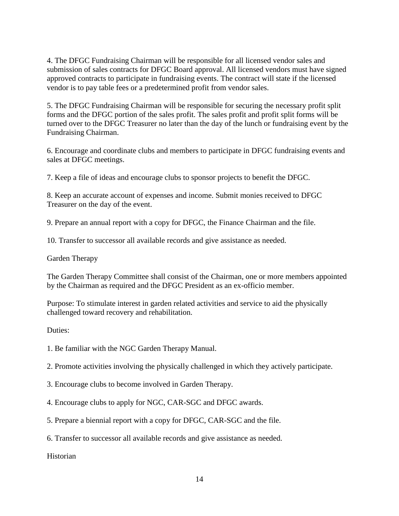4. The DFGC Fundraising Chairman will be responsible for all licensed vendor sales and submission of sales contracts for DFGC Board approval. All licensed vendors must have signed approved contracts to participate in fundraising events. The contract will state if the licensed vendor is to pay table fees or a predetermined profit from vendor sales.

5. The DFGC Fundraising Chairman will be responsible for securing the necessary profit split forms and the DFGC portion of the sales profit. The sales profit and profit split forms will be turned over to the DFGC Treasurer no later than the day of the lunch or fundraising event by the Fundraising Chairman.

6. Encourage and coordinate clubs and members to participate in DFGC fundraising events and sales at DFGC meetings.

7. Keep a file of ideas and encourage clubs to sponsor projects to benefit the DFGC.

8. Keep an accurate account of expenses and income. Submit monies received to DFGC Treasurer on the day of the event.

9. Prepare an annual report with a copy for DFGC, the Finance Chairman and the file.

10. Transfer to successor all available records and give assistance as needed.

Garden Therapy

The Garden Therapy Committee shall consist of the Chairman, one or more members appointed by the Chairman as required and the DFGC President as an ex-officio member.

Purpose: To stimulate interest in garden related activities and service to aid the physically challenged toward recovery and rehabilitation.

Duties:

1. Be familiar with the NGC Garden Therapy Manual.

2. Promote activities involving the physically challenged in which they actively participate.

3. Encourage clubs to become involved in Garden Therapy.

4. Encourage clubs to apply for NGC, CAR-SGC and DFGC awards.

5. Prepare a biennial report with a copy for DFGC, CAR-SGC and the file.

6. Transfer to successor all available records and give assistance as needed.

Historian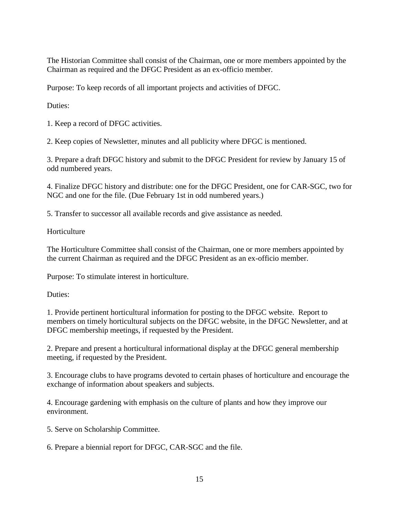The Historian Committee shall consist of the Chairman, one or more members appointed by the Chairman as required and the DFGC President as an ex-officio member.

Purpose: To keep records of all important projects and activities of DFGC.

Duties:

1. Keep a record of DFGC activities.

2. Keep copies of Newsletter, minutes and all publicity where DFGC is mentioned.

3. Prepare a draft DFGC history and submit to the DFGC President for review by January 15 of odd numbered years.

4. Finalize DFGC history and distribute: one for the DFGC President, one for CAR-SGC, two for NGC and one for the file. (Due February 1st in odd numbered years.)

5. Transfer to successor all available records and give assistance as needed.

**Horticulture** 

The Horticulture Committee shall consist of the Chairman, one or more members appointed by the current Chairman as required and the DFGC President as an ex-officio member.

Purpose: To stimulate interest in horticulture.

Duties:

1. Provide pertinent horticultural information for posting to the DFGC website. Report to members on timely horticultural subjects on the DFGC website, in the DFGC Newsletter, and at DFGC membership meetings, if requested by the President.

2. Prepare and present a horticultural informational display at the DFGC general membership meeting, if requested by the President.

3. Encourage clubs to have programs devoted to certain phases of horticulture and encourage the exchange of information about speakers and subjects.

4. Encourage gardening with emphasis on the culture of plants and how they improve our environment.

5. Serve on Scholarship Committee.

6. Prepare a biennial report for DFGC, CAR-SGC and the file.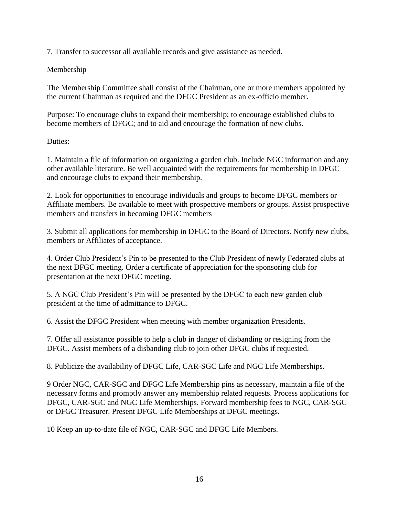7. Transfer to successor all available records and give assistance as needed.

# Membership

The Membership Committee shall consist of the Chairman, one or more members appointed by the current Chairman as required and the DFGC President as an ex-officio member.

Purpose: To encourage clubs to expand their membership; to encourage established clubs to become members of DFGC; and to aid and encourage the formation of new clubs.

# Duties:

1. Maintain a file of information on organizing a garden club. Include NGC information and any other available literature. Be well acquainted with the requirements for membership in DFGC and encourage clubs to expand their membership.

2. Look for opportunities to encourage individuals and groups to become DFGC members or Affiliate members. Be available to meet with prospective members or groups. Assist prospective members and transfers in becoming DFGC members

3. Submit all applications for membership in DFGC to the Board of Directors. Notify new clubs, members or Affiliates of acceptance.

4. Order Club President's Pin to be presented to the Club President of newly Federated clubs at the next DFGC meeting. Order a certificate of appreciation for the sponsoring club for presentation at the next DFGC meeting.

5. A NGC Club President's Pin will be presented by the DFGC to each new garden club president at the time of admittance to DFGC.

6. Assist the DFGC President when meeting with member organization Presidents.

7. Offer all assistance possible to help a club in danger of disbanding or resigning from the DFGC. Assist members of a disbanding club to join other DFGC clubs if requested.

8. Publicize the availability of DFGC Life, CAR-SGC Life and NGC Life Memberships.

9 Order NGC, CAR-SGC and DFGC Life Membership pins as necessary, maintain a file of the necessary forms and promptly answer any membership related requests. Process applications for DFGC, CAR-SGC and NGC Life Memberships. Forward membership fees to NGC, CAR-SGC or DFGC Treasurer. Present DFGC Life Memberships at DFGC meetings.

10 Keep an up-to-date file of NGC, CAR-SGC and DFGC Life Members.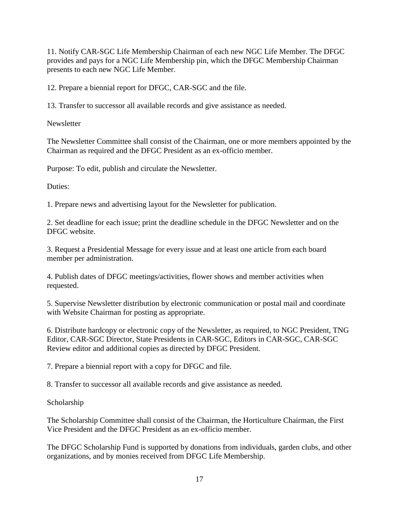11. Notify CAR-SGC Life Membership Chairman of each new NGC Life Member. The DFGC provides and pays for a NGC Life Membership pin, which the DFGC Membership Chairman presents to each new NGC Life Member.

12. Prepare a biennial report for DFGC, CAR-SGC and the file.

13. Transfer to successor all available records and give assistance as needed.

**Newsletter** 

The Newsletter Committee shall consist of the Chairman, one or more members appointed by the Chairman as required and the DFGC President as an ex-officio member.

Purpose: To edit, publish and circulate the Newsletter.

Duties:

1. Prepare news and advertising layout for the Newsletter for publication.

2. Set deadline for each issue; print the deadline schedule in the DFGC Newsletter and on the DFGC website.

3. Request a Presidential Message for every issue and at least one article from each board member per administration.

4. Publish dates of DFGC meetings/activities, flower shows and member activities when requested.

5. Supervise Newsletter distribution by electronic communication or postal mail and coordinate with Website Chairman for posting as appropriate.

6. Distribute hardcopy or electronic copy of the Newsletter, as required, to NGC President, TNG Editor, CAR-SGC Director, State Presidents in CAR-SGC, Editors in CAR-SGC, CAR-SGC Review editor and additional copies as directed by DFGC President.

7. Prepare a biennial report with a copy for DFGC and file.

8. Transfer to successor all available records and give assistance as needed.

Scholarship

The Scholarship Committee shall consist of the Chairman, the Horticulture Chairman, the First Vice President and the DFGC President as an ex-officio member.

The DFGC Scholarship Fund is supported by donations from individuals, garden clubs, and other organizations, and by monies received from DFGC Life Membership.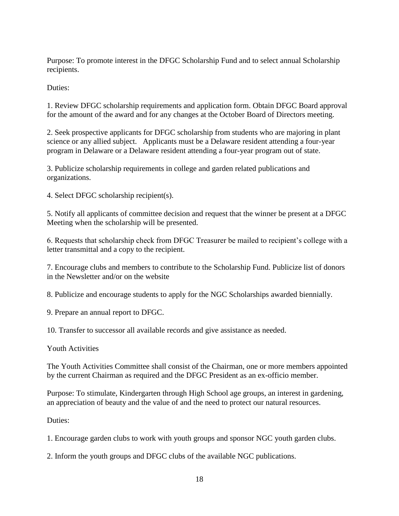Purpose: To promote interest in the DFGC Scholarship Fund and to select annual Scholarship recipients.

Duties:

1. Review DFGC scholarship requirements and application form. Obtain DFGC Board approval for the amount of the award and for any changes at the October Board of Directors meeting.

2. Seek prospective applicants for DFGC scholarship from students who are majoring in plant science or any allied subject. Applicants must be a Delaware resident attending a four-year program in Delaware or a Delaware resident attending a four-year program out of state.

3. Publicize scholarship requirements in college and garden related publications and organizations.

4. Select DFGC scholarship recipient(s).

5. Notify all applicants of committee decision and request that the winner be present at a DFGC Meeting when the scholarship will be presented.

6. Requests that scholarship check from DFGC Treasurer be mailed to recipient's college with a letter transmittal and a copy to the recipient.

7. Encourage clubs and members to contribute to the Scholarship Fund. Publicize list of donors in the Newsletter and/or on the website

8. Publicize and encourage students to apply for the NGC Scholarships awarded biennially.

9. Prepare an annual report to DFGC.

10. Transfer to successor all available records and give assistance as needed.

Youth Activities

The Youth Activities Committee shall consist of the Chairman, one or more members appointed by the current Chairman as required and the DFGC President as an ex-officio member.

Purpose: To stimulate, Kindergarten through High School age groups, an interest in gardening, an appreciation of beauty and the value of and the need to protect our natural resources.

Duties:

1. Encourage garden clubs to work with youth groups and sponsor NGC youth garden clubs.

2. Inform the youth groups and DFGC clubs of the available NGC publications.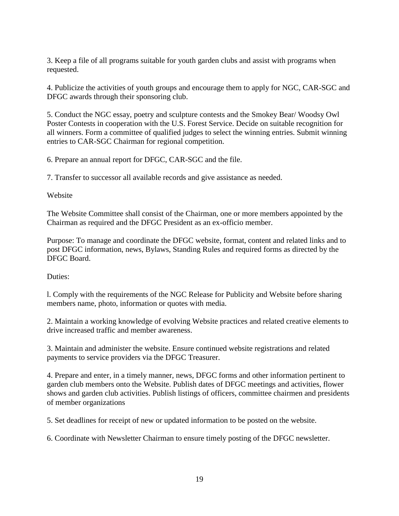3. Keep a file of all programs suitable for youth garden clubs and assist with programs when requested.

4. Publicize the activities of youth groups and encourage them to apply for NGC, CAR-SGC and DFGC awards through their sponsoring club.

5. Conduct the NGC essay, poetry and sculpture contests and the Smokey Bear/ Woodsy Owl Poster Contests in cooperation with the U.S. Forest Service. Decide on suitable recognition for all winners. Form a committee of qualified judges to select the winning entries. Submit winning entries to CAR-SGC Chairman for regional competition.

6. Prepare an annual report for DFGC, CAR-SGC and the file.

7. Transfer to successor all available records and give assistance as needed.

Website

The Website Committee shall consist of the Chairman, one or more members appointed by the Chairman as required and the DFGC President as an ex-officio member.

Purpose: To manage and coordinate the DFGC website, format, content and related links and to post DFGC information, news, Bylaws, Standing Rules and required forms as directed by the DFGC Board.

Duties:

l. Comply with the requirements of the NGC Release for Publicity and Website before sharing members name, photo, information or quotes with media.

2. Maintain a working knowledge of evolving Website practices and related creative elements to drive increased traffic and member awareness.

3. Maintain and administer the website. Ensure continued website registrations and related payments to service providers via the DFGC Treasurer.

4. Prepare and enter, in a timely manner, news, DFGC forms and other information pertinent to garden club members onto the Website. Publish dates of DFGC meetings and activities, flower shows and garden club activities. Publish listings of officers, committee chairmen and presidents of member organizations

5. Set deadlines for receipt of new or updated information to be posted on the website.

6. Coordinate with Newsletter Chairman to ensure timely posting of the DFGC newsletter.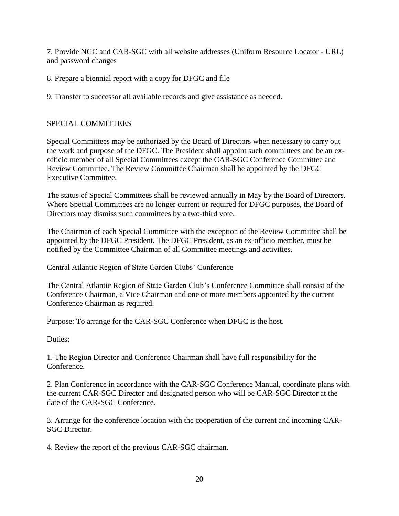7. Provide NGC and CAR-SGC with all website addresses (Uniform Resource Locator - URL) and password changes

8. Prepare a biennial report with a copy for DFGC and file

9. Transfer to successor all available records and give assistance as needed.

### SPECIAL COMMITTEES

Special Committees may be authorized by the Board of Directors when necessary to carry out the work and purpose of the DFGC. The President shall appoint such committees and be an exofficio member of all Special Committees except the CAR-SGC Conference Committee and Review Committee. The Review Committee Chairman shall be appointed by the DFGC Executive Committee.

The status of Special Committees shall be reviewed annually in May by the Board of Directors. Where Special Committees are no longer current or required for DFGC purposes, the Board of Directors may dismiss such committees by a two-third vote.

The Chairman of each Special Committee with the exception of the Review Committee shall be appointed by the DFGC President. The DFGC President, as an ex-officio member, must be notified by the Committee Chairman of all Committee meetings and activities.

Central Atlantic Region of State Garden Clubs' Conference

The Central Atlantic Region of State Garden Club's Conference Committee shall consist of the Conference Chairman, a Vice Chairman and one or more members appointed by the current Conference Chairman as required.

Purpose: To arrange for the CAR-SGC Conference when DFGC is the host.

Duties:

1. The Region Director and Conference Chairman shall have full responsibility for the Conference.

2. Plan Conference in accordance with the CAR-SGC Conference Manual, coordinate plans with the current CAR-SGC Director and designated person who will be CAR-SGC Director at the date of the CAR-SGC Conference.

3. Arrange for the conference location with the cooperation of the current and incoming CAR-SGC Director.

4. Review the report of the previous CAR-SGC chairman.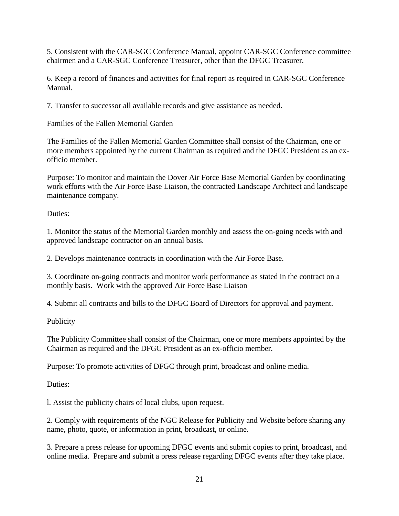5. Consistent with the CAR-SGC Conference Manual, appoint CAR-SGC Conference committee chairmen and a CAR-SGC Conference Treasurer, other than the DFGC Treasurer.

6. Keep a record of finances and activities for final report as required in CAR-SGC Conference Manual.

7. Transfer to successor all available records and give assistance as needed.

Families of the Fallen Memorial Garden

The Families of the Fallen Memorial Garden Committee shall consist of the Chairman, one or more members appointed by the current Chairman as required and the DFGC President as an exofficio member.

Purpose: To monitor and maintain the Dover Air Force Base Memorial Garden by coordinating work efforts with the Air Force Base Liaison, the contracted Landscape Architect and landscape maintenance company.

Duties:

1. Monitor the status of the Memorial Garden monthly and assess the on-going needs with and approved landscape contractor on an annual basis.

2. Develops maintenance contracts in coordination with the Air Force Base.

3. Coordinate on-going contracts and monitor work performance as stated in the contract on a monthly basis. Work with the approved Air Force Base Liaison

4. Submit all contracts and bills to the DFGC Board of Directors for approval and payment.

Publicity

The Publicity Committee shall consist of the Chairman, one or more members appointed by the Chairman as required and the DFGC President as an ex-officio member.

Purpose: To promote activities of DFGC through print, broadcast and online media.

Duties:

l. Assist the publicity chairs of local clubs, upon request.

2. Comply with requirements of the NGC Release for Publicity and Website before sharing any name, photo, quote, or information in print, broadcast, or online.

3. Prepare a press release for upcoming DFGC events and submit copies to print, broadcast, and online media. Prepare and submit a press release regarding DFGC events after they take place.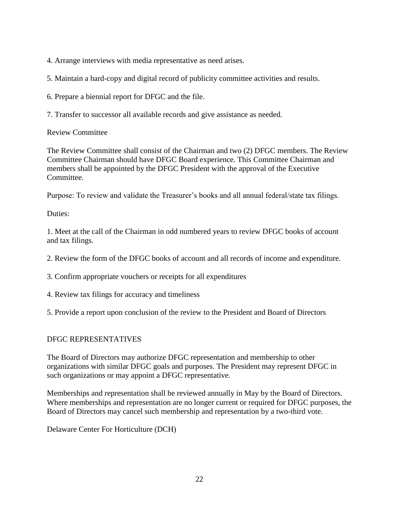4. Arrange interviews with media representative as need arises.

5. Maintain a hard-copy and digital record of publicity committee activities and results.

6. Prepare a biennial report for DFGC and the file.

7. Transfer to successor all available records and give assistance as needed.

Review Committee

The Review Committee shall consist of the Chairman and two (2) DFGC members. The Review Committee Chairman should have DFGC Board experience. This Committee Chairman and members shall be appointed by the DFGC President with the approval of the Executive Committee.

Purpose: To review and validate the Treasurer's books and all annual federal/state tax filings.

Duties:

1. Meet at the call of the Chairman in odd numbered years to review DFGC books of account and tax filings.

2. Review the form of the DFGC books of account and all records of income and expenditure.

3. Confirm appropriate vouchers or receipts for all expenditures

4. Review tax filings for accuracy and timeliness

5. Provide a report upon conclusion of the review to the President and Board of Directors

#### DFGC REPRESENTATIVES

The Board of Directors may authorize DFGC representation and membership to other organizations with similar DFGC goals and purposes. The President may represent DFGC in such organizations or may appoint a DFGC representative.

Memberships and representation shall be reviewed annually in May by the Board of Directors. Where memberships and representation are no longer current or required for DFGC purposes, the Board of Directors may cancel such membership and representation by a two-third vote.

Delaware Center For Horticulture (DCH)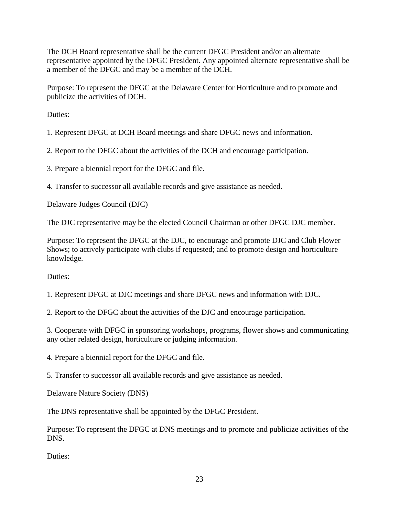The DCH Board representative shall be the current DFGC President and/or an alternate representative appointed by the DFGC President. Any appointed alternate representative shall be a member of the DFGC and may be a member of the DCH.

Purpose: To represent the DFGC at the Delaware Center for Horticulture and to promote and publicize the activities of DCH.

Duties:

1. Represent DFGC at DCH Board meetings and share DFGC news and information.

2. Report to the DFGC about the activities of the DCH and encourage participation.

3. Prepare a biennial report for the DFGC and file.

4. Transfer to successor all available records and give assistance as needed.

Delaware Judges Council (DJC)

The DJC representative may be the elected Council Chairman or other DFGC DJC member.

Purpose: To represent the DFGC at the DJC, to encourage and promote DJC and Club Flower Shows; to actively participate with clubs if requested; and to promote design and horticulture knowledge.

Duties:

1. Represent DFGC at DJC meetings and share DFGC news and information with DJC.

2. Report to the DFGC about the activities of the DJC and encourage participation.

3. Cooperate with DFGC in sponsoring workshops, programs, flower shows and communicating any other related design, horticulture or judging information.

4. Prepare a biennial report for the DFGC and file.

5. Transfer to successor all available records and give assistance as needed.

Delaware Nature Society (DNS)

The DNS representative shall be appointed by the DFGC President.

Purpose: To represent the DFGC at DNS meetings and to promote and publicize activities of the DNS.

Duties: